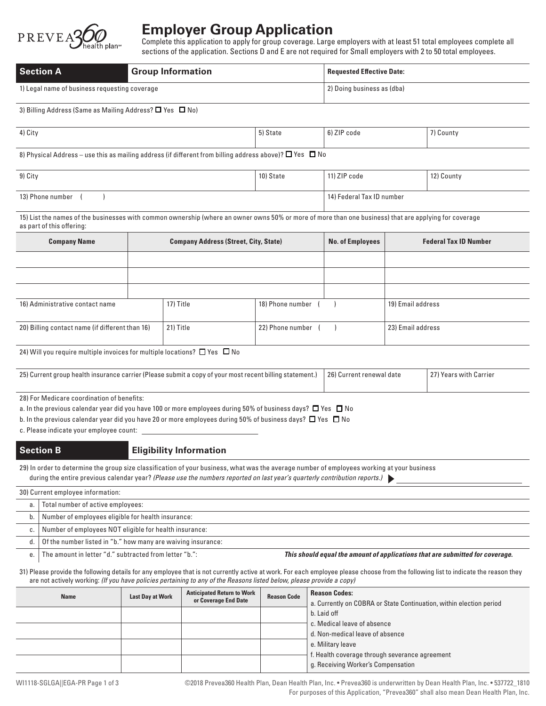

# **Employer Group Application**

Complete this application to apply for group coverage. Large employers with at least 51 total employees complete all sections of the application. Sections D and E are not required for Small employers with 2 to 50 total employees.

| <b>Section A</b><br><b>Group Information</b>  |  | <b>Requested Effective Date:</b> |
|-----------------------------------------------|--|----------------------------------|
| 1) Legal name of business requesting coverage |  | 2) Doing business as (dba)       |

### 3) Billing Address (Same as Mailing Address?  $\Box$  Yes  $\Box$  No)

| 4) City<br>חול<br><sup>기</sup> County<br>' code<br>o tate<br>. |  |
|----------------------------------------------------------------|--|
|----------------------------------------------------------------|--|

8) Physical Address – use this as mailing address (if different from billing address above)?  $\Box$  Yes  $\Box$  No

| 9) City          | 10) State | 11) ZIP code              | 12) County |
|------------------|-----------|---------------------------|------------|
| 13) Phone number |           | 14) Federal Tax ID number |            |

15) List the names of the businesses with common ownership (where an owner owns 50% or more of more than one business) that are applying for coverage as part of this offering:

| <b>Company Name</b>                             | <b>Company Address (Street, City, State)</b> |           |                  | <b>No. of Employees</b> | <b>Federal Tax ID Number</b> |
|-------------------------------------------------|----------------------------------------------|-----------|------------------|-------------------------|------------------------------|
|                                                 |                                              |           |                  |                         |                              |
|                                                 |                                              |           |                  |                         |                              |
|                                                 |                                              |           |                  |                         |                              |
| 16) Administrative contact name                 |                                              | 17) Title | 18) Phone number |                         | 19) Email address            |
| 20) Billing contact name (if different than 16) |                                              | 21) Title | 22) Phone number |                         | 23) Email address            |

24) Will you require multiple invoices for multiple locations?  $\Box$  Yes  $\Box$  No

| (25) Current group health insurance carrier (Please submit a copy of your most recent billing statement.) | 26) Current renewal date | (27) Years with Carrier |
|-----------------------------------------------------------------------------------------------------------|--------------------------|-------------------------|
|                                                                                                           |                          |                         |

28) For Medicare coordination of benefits:

a. In the previous calendar year did you have 100 or more employees during 50% of business days?  $\Box$  Yes  $\Box$  No

b. In the previous calendar year did you have 20 or more employees during 50% of business days?  $\Box$  Yes  $\Box$  No

c. Please indicate your employee count:

# **Section B Eligibility Information**

29) In order to determine the group size classification of your business, what was the average number of employees working at your business during the entire previous calendar year? *(Please use the numbers reported on last year's quarterly contribution reports.)*

|             | 30) Current employee information:                            |                                                                               |
|-------------|--------------------------------------------------------------|-------------------------------------------------------------------------------|
| a.          | Total number of active employees:                            |                                                                               |
| b.          | Number of employees eligible for health insurance:           |                                                                               |
| $C_{\cdot}$ | Number of employees NOT eligible for health insurance:       |                                                                               |
| d.          | Of the number listed in "b." how many are waiving insurance: |                                                                               |
| е.          | The amount in letter "d." subtracted from letter "b.":       | This should equal the amount of applications that are submitted for coverage. |

31) Please provide the following details for any employee that is not currently active at work. For each employee please choose from the following list to indicate the reason they are not actively working: *(If you have policies pertaining to any of the Reasons listed below, please provide a copy)*

| <b>Name</b> | <b>Last Day at Work</b> | <b>Anticipated Return to Work</b> | <b>Reason Code</b>                                                  |                                                | <b>Reason Codes:</b> |
|-------------|-------------------------|-----------------------------------|---------------------------------------------------------------------|------------------------------------------------|----------------------|
|             | or Coverage End Date    |                                   | a. Currently on COBRA or State Continuation, within election period |                                                |                      |
|             |                         |                                   |                                                                     | b. Laid off                                    |                      |
|             |                         |                                   |                                                                     | c. Medical leave of absence                    |                      |
|             |                         |                                   |                                                                     | d. Non-medical leave of absence                |                      |
|             |                         |                                   |                                                                     | e. Military leave                              |                      |
|             |                         |                                   |                                                                     | f. Health coverage through severance agreement |                      |
|             |                         |                                   |                                                                     | g. Receiving Worker's Compensation             |                      |

 ©2018 Prevea360 Health Plan, Dean Health Plan, Inc. • Prevea360 is underwritten by Dean Health Plan, Inc. • 537722\_1810 For purposes of this Application, "Prevea360" shall also mean Dean Health Plan, Inc.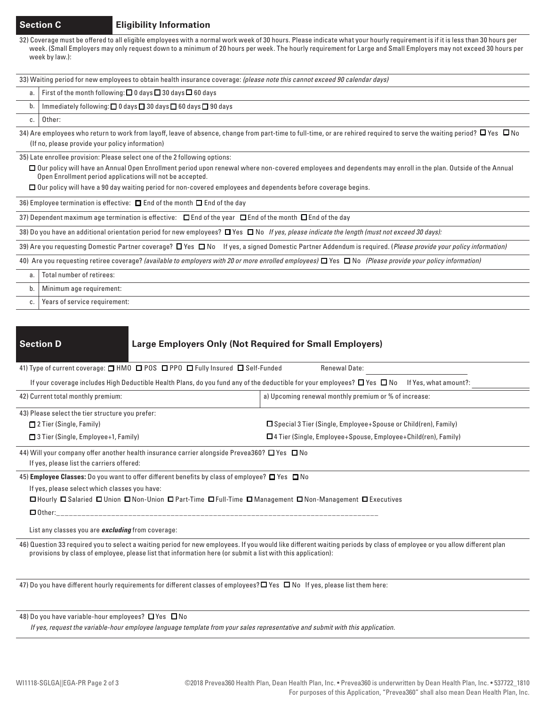# **Section C Eligibility Information**

32) Coverage must be offered to all eligible employees with a normal work week of 30 hours. Please indicate what your hourly requirement is if it is less than 30 hours per week. (Small Employers may only request down to a minimum of 20 hours per week. The hourly requirement for Large and Small Employers may not exceed 30 hours per week by law.):

33) Waiting period for new employees to obtain health insurance coverage: *(please note this cannot exceed 90 calendar days)*

### a. First of the month following:  $\Box$  0 days  $\Box$  30 days  $\Box$  60 days

b. | Immediately following:  $\Box$  0 days  $\Box$  30 days  $\Box$  60 days  $\Box$  90 days

c. | Other:

34) Are employees who return to work from layoff, leave of absence, change from part-time to full-time, or are rehired required to serve the waiting period?  $\Box$  Yes  $\Box$  No (If no, please provide your policy information)

35) Late enrollee provision: Please select one of the 2 following options:

□ Our policy will have an Annual Open Enrollment period upon renewal where non-covered employees and dependents may enroll in the plan. Outside of the Annual Open Enrollment period applications will not be accepted.

 $\Box$  Our policy will have a 90 day waiting period for non-covered employees and dependents before coverage begins.

36) Employee termination is effective:  $\Box$  End of the month  $\Box$  End of the day

37) Dependent maximum age termination is effective:  $\Box$  End of the year  $\Box$  End of the month  $\Box$  End of the day

38) Do you have an additional orientation period for new employees? **O** Yes **O** No *If yes, please indicate the length (must not exceed 30 days):* 

39) Are you requesting Domestic Partner coverage?  $\Box$  Yes  $\Box$  No If yes, a signed Domestic Partner Addendum is required. (*Please provide your policy information*)

40) Are you requesting retiree coverage? *(available to employers with 20 or more enrolled employees)*  Yes No *(Please provide your policy information)*

a. Total number of retirees:

b. | Minimum age requirement:

c. | Years of service requirement:

# **Section D Large Employers Only (Not Required for Small Employers)**

| 41) Type of current coverage: $\Box$ HMO $\Box$ POS $\Box$ PPO $\Box$ Fully Insured $\Box$ Self-Funded                                                    | <b>Renewal Date:</b>                                                                                                                                                    |  |
|-----------------------------------------------------------------------------------------------------------------------------------------------------------|-------------------------------------------------------------------------------------------------------------------------------------------------------------------------|--|
|                                                                                                                                                           | If your coverage includes High Deductible Health Plans, do you fund any of the deductible for your employees? $\Box$ Yes $\Box$ No If Yes, what amount?:                |  |
| 42) Current total monthly premium:<br>a) Upcoming renewal monthly premium or % of increase:                                                               |                                                                                                                                                                         |  |
| 43) Please select the tier structure you prefer:                                                                                                          |                                                                                                                                                                         |  |
| 2 Tier (Single, Family)                                                                                                                                   | $\Box$ Special 3 Tier (Single, Employee+Spouse or Child(ren), Family)                                                                                                   |  |
| $\Box$ 3 Tier (Single, Employee+1, Family)                                                                                                                | $\Box$ 4 Tier (Single, Employee+Spouse, Employee+Child(ren), Family)                                                                                                    |  |
| 44) Will your company offer another health insurance carrier alongside Prevea360? $\square$ Yes $\square$ No<br>If yes, please list the carriers offered: |                                                                                                                                                                         |  |
| 45) Employee Classes: Do you want to offer different benefits by class of employee? $\Box$ Yes $\Box$ No                                                  |                                                                                                                                                                         |  |
| If yes, please select which classes you have:                                                                                                             | □ Hourly □ Salaried □ Union □ Non-Union □ Part-Time □ Full-Time □ Management □ Non-Management □ Executives                                                              |  |
|                                                                                                                                                           |                                                                                                                                                                         |  |
| List any classes you are <b>excluding</b> from coverage:                                                                                                  |                                                                                                                                                                         |  |
| provisions by class of employee, please list that information here (or submit a list with this application):                                              | 46) Question 33 required you to select a waiting period for new employees. If you would like different waiting periods by class of employee or you allow different plan |  |

47) Do you have different hourly requirements for different classes of employees?  $\Box$  Yes  $\Box$  No If yes, please list them here:

### 48) Do you have variable-hour employees?  $\Box$  Yes  $\Box$  No

*If yes, request the variable-hour employee language template from your sales representative and submit with this application.*